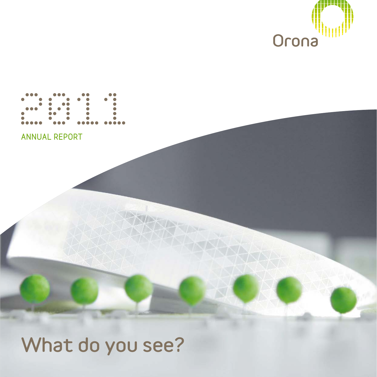

|                |                                                                   |                       | . .       |
|----------------|-------------------------------------------------------------------|-----------------------|-----------|
|                | $\bullet$ $\bullet$<br><b>Contract Contract Contract Contract</b> | $\bullet\quad\bullet$ | $\bullet$ |
|                | .<br>$\bullet$ .                                                  | $\blacksquare$        |           |
|                | .                                                                 |                       | -         |
|                | .                                                                 | $\sim$                | -         |
| $\blacksquare$ |                                                                   |                       |           |
|                |                                                                   | <b>.</b>              |           |

What do you see?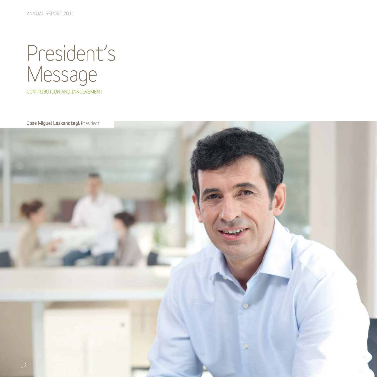### President's Message **CONTRIBUTION AND INVOLVEMENT**

Jose Miguel Lazkanotegi. President

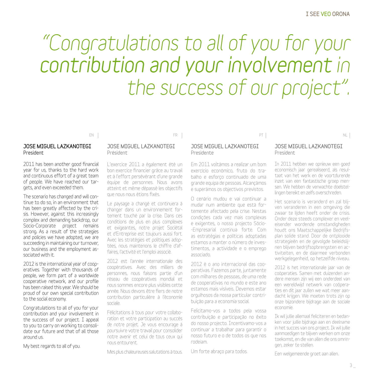### *"Congratulations to all of you for your contribution and your involvement in the success of our project".*

#### **EN FR PT nl**

### Jose Miguel Lazkanotegi **President**

2011 has been another good financial year for us, thanks to the hard work and continuous effort of a great team of people. We have reached our targets, and even exceeded them.

The scenario has changed and will continue to do so, in an environment that has been greatly affected by the crisis. However, against this increasingly complex and demanding backdrop, our Socio-Corporate project remains strong. As a result of the strategies and policies we have adopted, we are succeeding in maintaining our turnover, our business and the employment associated with it.

2012 is the international year of cooperatives. Together with thousands of people, we form part of a worldwide cooperative network, and our profile has been raised this year. We should be proud of our own special contribution to the social economy.

Congratulations to all of you for your contribution and your involvement in the success of our project. I appeal to you to carry on working to consolidate our future and that of all those around us.

My best regards to all of you.

### Jose Miguel Lazkanotegi **Président**

L'exercice 2011 a également été un bon exercice financier grâce au travail et à l'effort persévérant d'une grande équipe de personnes. Nous avons atteint et même dépassé les objectifs que nous nous étions fixés.

Le paysage a changé et continuera à changer dans un environnement fortement touché par la crise. Dans ces conditions de plus en plus complexes et exigeantes, notre projet Sociétal et d'Entreprise est toujours aussi fort. Avec les stratégies et politiques adoptées, nous maintenons le chiffre d'affaires, l'activité et l'emploi associé.

2012 est l'année internationale des coopératives. Avec des milliers de personnes, nous faisons partie d'un réseau de coopératives mondial et nous sommes encore plus visibles cette année. Nous devons être fiers de notre contribution particulière à l'économie sociale.

Félicitations à tous pour votre collaboration et votre participation au succès de notre projet. Je vous encourage à poursuivre votre travail pour consolider notre avenir et celui de tous ceux qui nous entourent.

Mes plus chaleureuses salutations à tous.

#### Jose Miguel Lazkanotegi **Presidente**

Em 2011 voltámos a realizar um bom exercício económico, fruto do trabalho e esforço continuado de uma grande equipa de pessoas. Alcançámos e superámos os objectivos previstos.

O cenário mudou e vai continuar a mudar num ambiente que está fortemente afectado pela crise. Nestas condições cada vez mais complexas e exigentes, o nosso projecto Sócio- -Empresarial continua forte. Com as estratégias e políticas adoptadas estamos a manter o número de investimentos, a actividade e o emprego associado.

2012 é o ano internacional das cooperativas. Fazemos parte, juntamente com milhares de pessoas, de uma rede de cooperativas no mundo e este ano estamos mais visíveis. Devemos estar orgulhosos da nossa particular contribuição para a economia social.

Felicitamo-vos a todos pela vossa contribuição e participação no êxito do nosso projecto. Incentivamo-vos a continuar a trabalhar para garantir o nosso futuro e o de todos os que nos rodeiam.

Um forte abraço para todos.

### Jose Miguel Lazkanotegi **President**

In 2011 hebben we opnieuw een goed economisch jaar gerealiseerd, als resultaat van het werk en de voortdurende inzet van een fantastische groep mensen. We hebben de verwachte doelstellingen bereikt en zelfs overschreden.

Het scenario is veranderd en zal blijven veranderen in een omgeving die zwaar te lijden heeft onder de crisis. Onder deze steeds complexer en veeleisender wordende omstandigheden houdt ons Maatschappelijke Bedrijfsplan solide stand. Door de ontplooide strategieën en de gevolgde beleidslijnen blijven bedrijfsopbrengsten en activiteiten, en de daarmee verbonden werkgelegenheid, op hetzelfde niveau.

2012 is het internationale jaar van de coöperaties. Samen met duizenden andere mensen zijn wij een onderdeel van een wereldwijd netwerk van coöperaties en dit jaar zullen we wat meer aandacht krijgen. We moeten trots zijn op onze bijzondere bijdrage aan de sociale economie.

Ik wil jullie allemaal feliciteren en bedanken voor jullie bijdrage aan en deelname in het succes van ons project. Ik wil jullie aanmoedigen te blijven werken om onze toekomst, en die van allen die ons omringen, zeker te stellen.

Een welgemeende groet aan allen.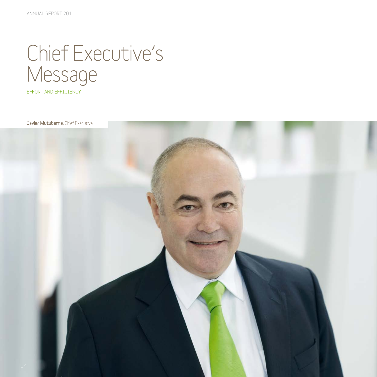## Chief Executive's **Message**

**effort and efficienCY** 

Javier Mutuberria. Chief Executive

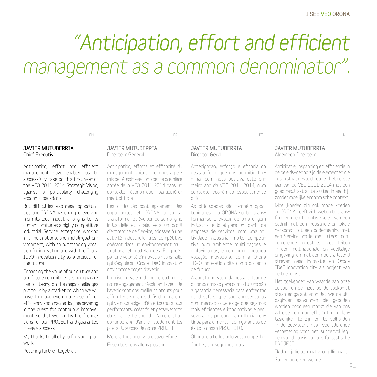# *"Anticipation, effort and efficient management as a common denominator".*

**EN FR PT nl** 

### **JAVIER MUTURERRIA Chief Executive**

Anticipation, effort and efficient management have enabled us to successfully take on this first year of the VEO 2011-2014 Strategic Vision, against a particularly challenging economic backdrop.

But difficulties also mean opportunities, and ORONA has changed, evolving from its local industrial origins to its current profile as a highly competitive industrial Service enterprise working in a multinational and multilingual environment, with an outstanding vocation for innovation and with the Orona IDeO-innovation city as a project for the future.

Enhancing the value of our culture and our future commitment is our guarantee for taking on the major challenges put to us by a market on which we will have to make even more use of our efficiency and imagination, persevering in the quest for continuous improvement, so that we can lay the foundations for our PROJECT and guarantee it every success.

My thanks to all of you for your good work.

Reaching further together.

### **JAVIER MUTURERRIA Directeur Général**

Anticipation, efforts et efficacité du management, voilà ce qui nous a permis de réussir avec brio cette première année de la VEO 2011-2014 dans un contexte économique particulièrement difficile.

Les difficultés sont également des opportunités et ORONA a su se transformer et évoluer, de son origine industrielle et locale, vers un profil d'entreprise de Service, adossée à une activité industrielle très compétitive opérant dans un environnement multinational et multi-langues. Et guidée par une volonté d'innovation sans faille qui s'appuie sur Orona IDeO-innovation city comme projet d'avenir.

La mise en valeur de notre culture et notre engagement résolu en faveur de l'avenir sont nos meilleurs atouts pour affronter les grands défis d'un marché qui va nous exiger d'être toujours plus performants, créatifs et persévérants dans la recherche de l'amélioration continue afin d'ancrer solidement les piliers du succès de notre PROJET.

Merci à tous pour votre savoir-faire. Ensemble, nous allons plus loin.

### Javier Mutuberria **Director Geral**

Antecipação, esforço e eficácia na gestão foi o que nos permitiu terminar com nota positiva este primeiro ano da VEO 2011-2014, num contexto económico especialmente difícil.

As dificuldades são também oportunidades e a ORONA soube transformar-se e evoluir de uma origem industrial e local para um perfil de empresa de serviços, com uma actividade industrial muito competitiva num ambiente multi-nações e multi-idiomas; e com uma vinculada vocação inovadora, com a Orona IDeO-innovation city como projecto de futuro.

A aposta no valor da nossa cultura e o compromisso para com o futuro são a garantia necessária para enfrentar os desafios que são apresentados num mercado que exige que sejamos mais eficientes e imaginativos e perseverar na procura da melhoria contínua para cimentar com garantias de êxito o nosso PROJECTO.

Obrigado a todos pelo vosso empenho. Juntos, conseguimos mais.

### Javier Mutuberria **Algemeen Directeur**

Anticipatie, inspanning en efficiëntie in de beleidsvoering zijn de elementen die ons in staat gesteld hebben het eerste jaar van de VEO 2011-2014 met een goed resultaat af te sluiten in een bijzonder moeilijke economische context.

Moeilijkheden zijn ook mogelijkheden en ORONA heeft zich weten te transformeren en te ontwikkelen van een bedrijf met een industriële en lokale herkomst tot een onderneming met een Service profiel met uiterst concurrerende industriële activiteiten in een multinationale en veeltalige omgeving; en met een nooit aflatend streven naar innovatie en Orona IDeO-innovation city als project van de toekomst.

Het toekennen van waarde aan onze cultuur en de inzet op de toekomst staan er garant voor dat we de uitdagingen aankunnen die geboden worden door een markt die van ons zal eisen om nog efficiënter en fantasierijker te zijn en te volharden in de zoektocht naar voortdurende verbetering voor het succesvol leggen van de basis van ons fantastische PROJECT.

Ik dank jullie allemaal voor jullie inzet. Samen bereiken we meer.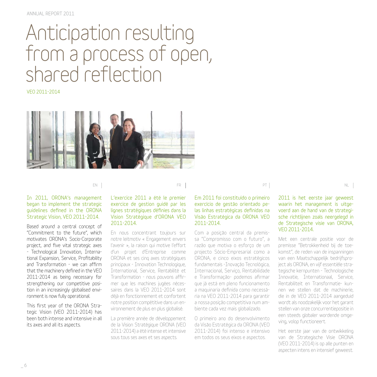### Anticipation resulting from a process of open, shared reflection

**VEO 2011-2014**



**EN FR PT NL**

**In 2011, ORONA's management began to implement the strategic guidelines defined in the ORONA Strategic Vision, VEO 2011-2014.** 

Based around a central concept of "Commitment to the future", which motivates ORONA's Socio-Corporate project, and five vital strategic axes - Technological Innovation, International Expansion, Service, Profitability and Transformation - we can affirm that the machinery defined in the VEO 2011-2014 as being necessary for strengthening our competitive position in an increasingly globalised environment is now fully operational.

This first year of the ORONA Strategic Vision (VEO 2011-2014) has been both intense and intensive in all its axes and all its aspects.

#### **L'exercice 2011 a été le premier exercice de gestion guidé par les lignes stratégiques définies dans la Vision Stratégique d'ORONA VEO 2011-2014.**

En nous concentrant toujours sur notre leitmotiv « Engagement envers l'avenir », la raison qui motive l'effort d'un projet d'Entreprise comme ORONA et ses cinq axes stratégiques principaux - Innovation Technologique, International, Service, Rentabilité et Transformation - nous pouvons affirmer que les machines jugées nécessaires dans la VEO 2011-2014 sont déjà en fonctionnement et confortent notre position compétitive dans un environnement de plus en plus globalisé.

La première année de développement de la Vision Stratégique ORONA (VEO 2011-2014) a été intense et intensive sous tous ses axes et ses aspects.

### **Em 2011 foi constituído o primeiro exercício de gestão orientado pelas linhas estratégicas definidas na Visão Estratégica da ORONA VEO 2011-2014.**

Com a posição central da premissa "Compromisso com o futuro", a razão que motiva o esforço de um projecto Sócio-Empresarial como a ORONA, e cinco eixos estratégicos fundamentais -Inovação Tecnológica, Internacional, Serviço, Rentabilidade e Transformação- podemos afirmar que já está em pleno funcionamento a maquinaria definida como necessária na VEO 2011-2014 para garantir a nossa posição competitiva num ambiente cada vez mais globalizado.

O primeiro ano do desenvolvimento da Visão Estratégica da ORONA (VEO 2011-2014) foi intenso e intensivo em todos os seus eixos e aspectos.

#### **2011 is het eerste jaar geweest waarin het management is uitgevoerd aan de hand van de strategische richtlijnen zoals neergelegd in de Strategische visie van ORONA, VEO 2011-2014.**

Met een centrale positie voor de premisse "Betrokkenheid bij de toekomst", de reden van de inspanningen van een Maatschappelijk bedrijfsproject als ORONA, en vijf essentiële strategische kernpunten - Technologische Innovatie, Internationaal, Service, Rentabiliteit en Transformatie- kunnen we stellen dat de machinerie, die in de VEO 2011-2014 aangeduid wordt als noodzakelijk voor het garant stellen van onze concurrentiepositie in een steeds globaler wordende omgeving, volop functioneert.

Het eerste jaar van de ontwikkeling van de Strategische Visie ORONA (VEO 2011-2014) is op alle punten en aspecten intens en intensief geweest.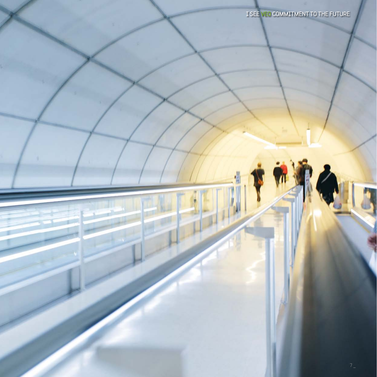

初演と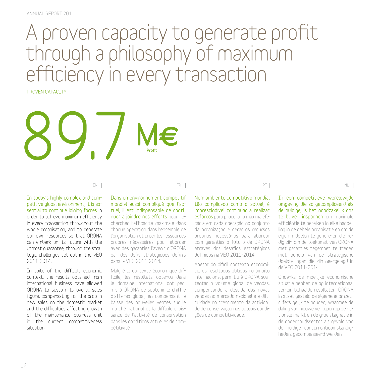### A proven capacity to generate profit through a philosophy of maximum efficiency in every transaction

**proven capacity**

### **89.7** <sup>M</sup> Profit **E**

#### **EN FR PT NL**

**In today's highly complex and competitive global environment, it is essential to continue joining forces** in order to achieve maximum efficiency in every transaction throughout the whole organisation, and to generate our own resources so that ORONA can embark on its future with the utmost guarantee, through the strategic challenges set out in the VEO 2011-2014.

In spite of the difficult economic context, the results obtained from international business have allowed ORONA to sustain its overall sales figure, compensating for the drop in new sales on the domestic market and the difficulties affecting growth of the maintenance business unit in the current competitiveness situation.

**Dans un environnement compétitif mondial aussi compliqué que l'actuel, il est indispensable de continuer à joindre nos efforts** pour rechercher l'efficacité maximale dans chaque opération dans l'ensemble de l'organisation et créer les ressources propres nécessaires pour aborder avec des garanties l'avenir d'ORONA par des défis stratégiques définis dans la VEO 2011-2014.

Malgré le contexte économique difficile, les résultats obtenus dans le domaine international ont permis à ORONA de soutenir le chiffre d'affaires global, en compensant la baisse des nouvelles ventes sur le marché national et la difficile croissance de l'activité de conservation dans les conditions actuelles de compétitivité.

**Num ambiente competitivo mundial tão complicado como o actual, é imprescindível continuar a realizar esforços** para procurar a máxima eficácia em cada operação no conjunto da organização e gerar os recursos próprios necessários para abordar com garantias o futuro da ORONA através dos desafios estratégicos definidos na VEO 2011-2014.

Apesar do difícil contexto económico, os resultados obtidos no âmbito internacional permitiu à ORONA sustentar o volume global de vendas, compensando a descida das novas vendas no mercado nacional e a dificuldade no crescimento da actividade de conservação nas actuais condições de competitividade.

**In een competitieve wereldwijde omgeving die zo gecompliceerd als de huidige, is het noodzakelijk ons te blijven inspannen** om maximale efficiëntie te bereiken in elke handeling in de gehele organisatie en om de eigen middelen te genereren die nodig zijn om de toekomst van ORONA met garanties tegemoet te treden met behulp van de strategische doelstellingen die zijn neergelegd in de VEO 2011-2014.

Ondanks de moeilijke economische situatie hebben de op internationaal terrein behaalde resultaten, ORONA in staat gesteld de algemene omzetcijfers gelijk te houden, waarmee de daling van nieuwe verkopen op de nationale markt en de groeistagnatie in de onderhoudssector als gevolg van de huidige concurrentieomstandigheden, gecompenseerd werden.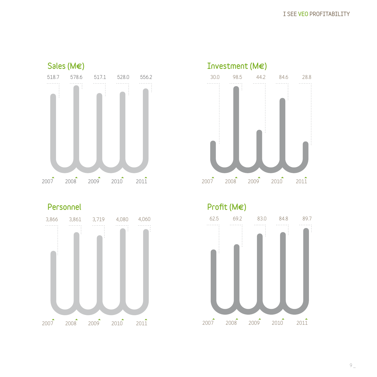





Personnel Profit (M**e**)

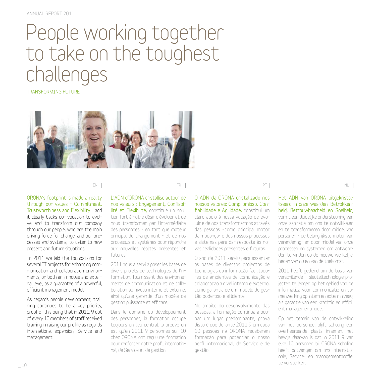### People working together to take on the toughest challenges

**TRANSFORMING FUTURE**



**ORONA's footprint is made a reality through our values - Commitment, Trustworthiness and Flexibility -** and it clearly backs our vocation to evolve and to transform our company through our people, who are the main driving force for change, and our processes and systems, to cater to new present and future situations.

In 2011 we laid the foundations for several IT projects for enhancing communication and collaboration environments, on both an in-house and external level, as a guarantee of a powerful, efficient management model.

As regards people development, training continues to be a key priority, proof of this being that in 2011, 9 out of every 10 members of staff received training in raising our profile as regards international expansion, Service and management.

#### **EN FR PT NL**

**L'ADN d'ORONA cristallisé autour de nos valeurs : Engagement, Confiabilité et Flexibilité,** constitue un soutien fort à notre désir d'évoluer et de nous transformer par l'intermédiaire des personnes - en tant que moteur principal du changement - et de nos processus et systèmes pour répondre aux nouvelles réalités présentes et futures.

2011 nous a servi à poser les bases de divers projets de technologies de l'information, fournissant des environnements de communication et de collaboration au niveau interne et externe, ainsi qu'une garantie d'un modèle de gestion puissante et efficace.

Dans le domaine du développement des personnes, la formation occupe toujours un lieu central, la preuve en est qu'en 2011 9 personnes sur 10 chez ORONA ont reçu une formation pour renforcer notre profil international, de Service et de gestion.

**O ADN da ORONA cristalizado nos nossos valores: Compromisso, Confiabilidade e Agilidade,** constitui um claro apoio à nossa vocação de evoluir e de nos transformarmos através das pessoas –como principal motor da mudança- e dos nossos processos e sistemas para dar resposta às novas realidades presentes e futuras.

O ano de 2011 serviu para assentar as bases de diversos projectos de tecnologias da informação facilitadores de ambientes de comunicação e colaboração a nível interno e externo, como garantia de um modelo de gestão poderoso e eficiente.

No âmbito do desenvolvimento das pessoas, a formação continua a ocupar um lugar predominante, prova disto é que durante 2011 9 em cada 10 pessoas na ORONA receberam formação para potenciar o nosso perfil internacional, de Serviço e de gestão.

#### **Het ADN van ORONA uitgekristalliseerd in onze waarden: Betrokkenheid, Betrouwbaarheid en Snelheid,**

vormt een duidelijke ondersteuning van onze aspiratie om ons te ontwikkelen en te transformeren door middel van personen - de belangrijkste motor van verandering- en door middel van onze processen en systemen om antwoorden te vinden op de nieuwe werkelijkheden van nu en van de toekomst.

2011 heeft gediend om de basis van verschillende sleuteltechnologie-projecten te leggen op het gebied van de informatica voor communicatie en samenwerking op intern en extern niveau, als garantie van een krachtig en efficiënt managementmodel.

Op het terrein van de ontwikkeling van het personeel blijft scholing een overheersende plaats innemen, het bewijs daarvan is dat in 2011 9 van elke 10 personen bij ORONA scholing heeft ontvangen om ons internationale, Service- en managementprofiel te versterken.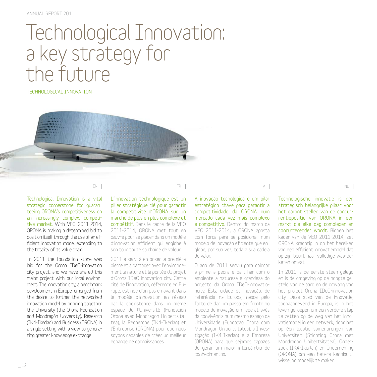### Technological Innovation: a key strategy for the future

**Technological innovation**



**Technological Innovation is a vital strategic cornerstone for guaranteeing ORONA's competitiveness on an increasingly complex, competitive market.** With VEO 2011-2014, ORONA is making a determined bid to position itself through the use of an efficient innovation model extending to the totality of its value chain.

In 2011 the foundation stone was laid for the Orona IDeO-innovation city project, and we have shared this major project with our local environment. The innovation city, a benchmark development in Europe, emerged from the desire to further the networked innovation model by bringing together the University (the Orona Foundation and Mondragón University), Research (IK4-Ikerlan) and Business (ORONA) in a single setting with a view to generating greater knowledge exchange

**L'innovation technologique est un pilier stratégique clé pour garantir la compétitivité d'ORONA sur un marché de plus en plus complexe et compétitif.** Dans le cadre de la VEO 2011-2014, ORONA met tout en œuvre pour se placer dans un modèle d'innovation efficient qui englobe à son tour toute sa chaîne de valeur.

2011 a servi à en poser la première pierre et à partager avec l'environnement la nature et la portée du projet d'Orona IDeO-innovation city. Cette cité de l'innovation, référence en Europe, est née d'un pas en avant dans le modèle d'innovation en réseau par la coexistence dans un même espace de l'Université (Fundación Orona avec Mondragon Unibertsitatea), la Recherche (IK4-Ikerlan) et l'Entreprise (ORONA) pour que nous soyons capables de créer un meilleur échange de connaissances.

**A inovação tecnológica é um pilar estratégico chave para garantir a competitividade da ORONA num mercado cada vez mais complexo e competitivo.** Dentro do marco da VEO 2011-2014, a ORONA aposta com força para se posicionar num modelo de inovação eficiente que englobe, por sua vez, toda a sua cadeia de valor.

O ano de 2011 serviu para colocar a primeira pedra e partilhar com o ambiente a natureza e grandeza do projecto da Orona IDeO-innovationcity. Esta cidade da inovação, de referência na Europa, nasce pelo facto de dar um passo em frente no modelo de inovação em rede através da convivência num mesmo espaço da Universidade (Fundação Orona com Mondragon Unibertsitatea), a Investigação (IK4-Ikerlan) e a Empresa (ORONA) para que sejamos capazes de gerar um maior intercâmbio de conhecimentos.

**EN FR PT NL**

**Technologische innovatie is een strategisch belangrijke pilaar voor het garant stellen van de concurrentiepositie van ORONA in een markt die elke dag complexer en concurrerender wordt.** Binnen het kader van de VEO 2011-2014, zet ORONA krachtig in op het bereiken van een efficiënt innovatiemodel dat op zijn beurt haar volledige waardeketen omvat.

In 2011 is de eerste steen gelegd en is de omgeving op de hoogte gesteld van de aard en de omvang van het project Orona IDeO-innovation city. Deze stad van de innovatie, toonaangevend in Europa, is in het leven geroepen om een verdere stap te zetten op de weg van het innovatiemodel in een netwerk, door het op één locatie samenbrengen van Universiteit (Stichting Orona met Mondragon Unibertsitatea), Onderzoek (IK4-Ikerlan) en Onderneming (ORONA) om een betere kennisuitwisseling mogelijk te maken.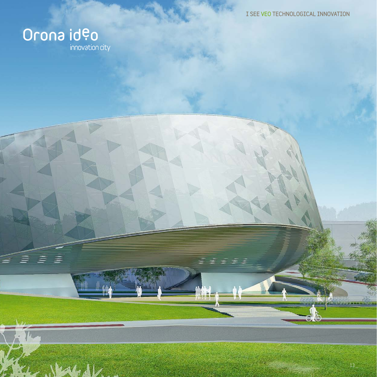<mark>a</mark> sa sa

# Orona ideo

 $\equiv$   $\equiv$ 

三

**September Konstant**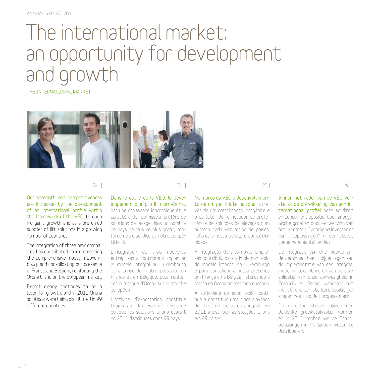### The international market: an opportunity for development and growth

**The international market**



**Our strength and competitiveness are increased by the development of an international profile within the framework of the VEO,** through inorganic growth and as a preferred supplier of lift solutions in a growing number of countries.

The integration of three new companies has contributed to implementing the comprehensive model in Luxembourg and consolidating our presence in France and Belgium, reinforcing the Orona brand on the European market.

Export clearly continues to be a lever for growth, and in 2011 Orona solutions were being distributed in 99 different countries.

**Dans le cadre de la VEO, le développement d'un profil international,**  par une croissance inorganique et le caractère de fournisseur préféré de solutions de levage dans un nombre de pays de plus en plus grand, renforce notre solidité et notre compétitivité.

L'intégration de trois nouvelles entreprises a contribué à implanter le modèle intégral au Luxembourg et à consolider notre présence en France et en Belgique, pour renforcer la marque d'Orona sur le marché européen.

L'activité d'exportation constitue toujours un clair levier de croissance puisque les solutions Orona étaient en 2011 distribuées dans 99 pays.

**No marco da VEO o desenvolvimento de um perfil internacional,** através de um crescimento inorgânico e o carácter de fornecedor de preferência de soluções de elevação num número cada vez maior de países, reforça a nossa solidez e competitividade.

A integração de três novas empresas contribuiu para a implementação do modelo integral no Luxemburgo e para consolidar a nossa presença em França e na Bélgica, reforçando a marca da Orona no mercado europeu.

A actividade de exportação continua a constituir uma clara alavanca de crescimento, tendo chegado em 2011 a distribuir as soluções Orona em 99 países.

**EN FR PT NL**

### **Binnen het kader van de VEO versterkt de ontwikkeling van een internationaal profiel** onze soliditeit en concurrentiepositie, door anorganische groei en door verwerving van het kenmerk "voorkeursleverancier van liftoplossingen" in een steeds toenemend aantal landen.

De integratie van drie nieuwe ondernemingen heeft bijgedragen aan de implementatie van een integraal model in Luxemburg en aan de consolidatie van onze aanwezigheid in Frankrijk en België, waardoor het merk Orona een sterkere positie gekregen heeft op de Europese markt.

De exportactiviteiten blijven een duidelijke groeikatalysator vormen en in 2011 hebben we de Oronaoplossingen in 99 landen weten te distribueren.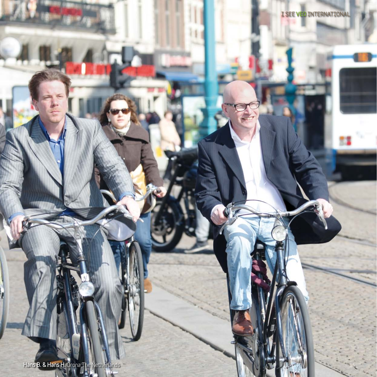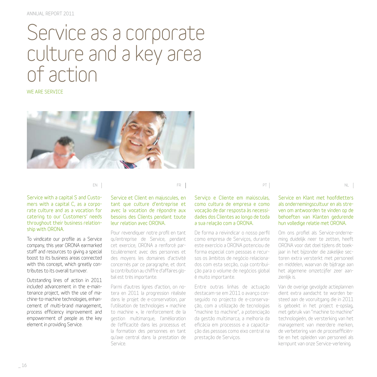### Service as a corporate culture and a key area of action

**WE ARE SERVICE**



**Service with a capital S and Customers with a capital C, as a corporate culture and as a vocation for catering to our Customers' needs throughout their business relationship with ORONA.**

To vindicate our profile as a Service company, this year ORONA earmarked staff and resources to giving a special boost to its business areas connected with this concept, which greatly contributes to its overall turnover.

Outstanding lines of action in 2011 included advancement in the e-maintenance project, with the use of machine-to-machine technologies, enhancement of multi-brand management, process efficiency improvement and empowerment of people as the key element in providing Service.

#### **Service et Client en majuscules, en tant que culture d'entreprise et avec la vocation de répondre aux besoins des Clients pendant toute leur relation avec ORONA.**

Pour revendiquer notre profil en tant qu'entreprise de Service, pendant cet exercice, ORONA a renforcé particulièrement avec des personnes et des moyens les domaines d'activité concernés par ce paragraphe, et dont la contribution au chiffre d'affaires global est très importante.

Parmi d'autres lignes d'action, on notera en 2011 la progression réalisée dans le projet de e-conservation, par l'utilisation de technologies « machine to machine », le renforcement de la gestion multimarque, l'amélioration de l'efficacité dans les processus et la formation des personnes en tant qu'axe central dans la prestation de Service.

**Serviço e Cliente em maiúsculas, como cultura de empresa e como vocação de dar resposta às necessidades dos Clientes ao longo de toda a sua relação com a ORONA.** 

De forma a reivindicar o nosso perfil como empresa de Serviços, durante este exercício a ORONA potenciou de forma especial com pessoas e recursos os âmbitos de negócio relacionados com esta secção, cuja contribuição para o volume de negócios global é muito importante.

Entre outras linhas de actuação destacam-se em 2011 o avanço conseguido no projecto de e-conservação, com a utilização de tecnologias "machine to machine", a potenciação da gestão multimarca, a melhoria da eficácia em processos e a capacitação das pessoas como eixo central na prestação de Serviços.

**EN FR PT NL**

#### **Service en Klant met hoofdletters als ondernemingscultuur en als streven om antwoorden te vinden op de behoeften van Klanten gedurende hun volledige relatie met ORONA.**

Om ons profiel als Service-onderneming duidelijk neer te zetten, heeft ORONA voor dat doel tijdens dit boekjaar in het bijzonder die zakelijke sectoren extra versterkt met personeel en middelen, waarvan de bijdrage aan het algemene omzetcijfer zeer aanzienlijk is.

Van de overige gevolgde actieplannen dient extra aandacht te worden besteed aan de vooruitgang die in 2011 is geboekt in het project e-opslag, met gebruik van "machine to machine" technologieën, de versterking van het management van meerdere merken, de verbetering van de procesefficiëntie en het opleiden van personeel als kernpunt van onze Service-verlening.

**\_ 16**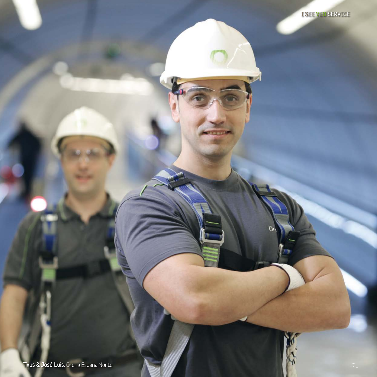$U^{\prime}$ 

こん